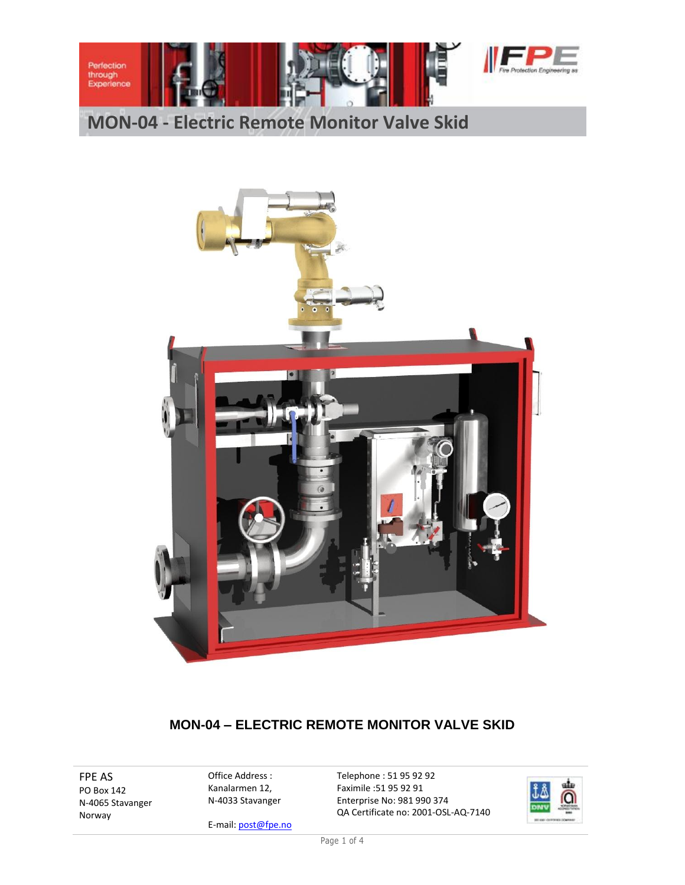

# **MON-04 - Electric Remote Monitor Valve Skid**



### **MON-04 – ELECTRIC REMOTE MONITOR VALVE SKID**

FPE AS PO Box 142 N-4065 Stavanger Norway

Office Address : Kanalarmen 12, N-4033 Stavanger Telephone : 51 95 92 92 Faximile :51 95 92 91 Enterprise No: 981 990 374 QA Certificate no: 2001-OSL-AQ-7140



E-mail: post@fpe.no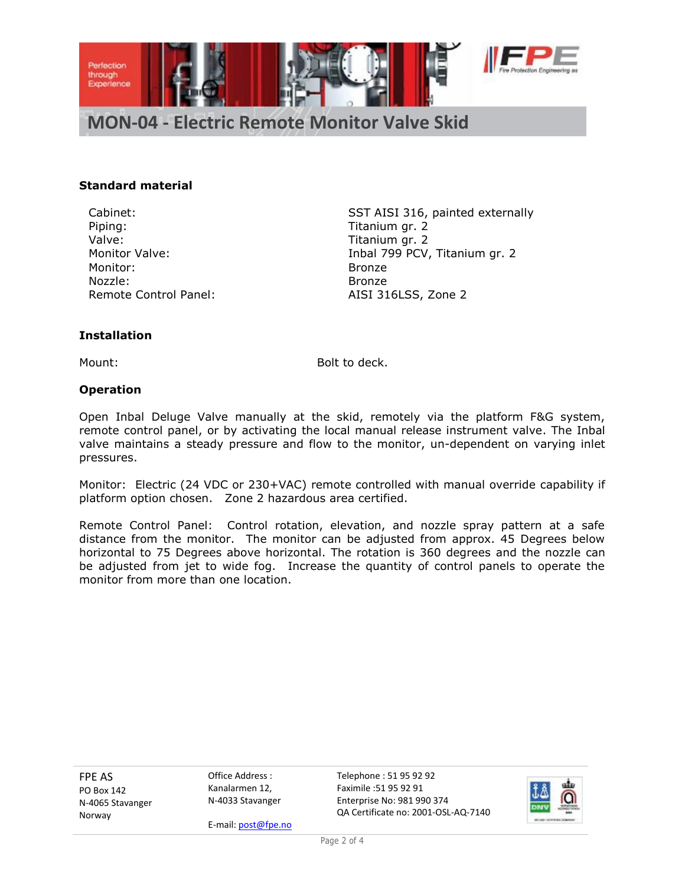

**MON-04 - Electric Remote Monitor Valve Skid**

#### **Standard material**

Piping: Titanium gr. 2 Valve: Valve: Titanium gr. 2 Monitor: Bronze Nozzle: Bronze Remote Control Panel: AISI 316LSS, Zone 2

Cabinet: SST AISI 316, painted externally Monitor Valve: Inbal 799 PCV, Titanium gr. 2

#### **Installation**

Mount: Bolt to deck.

#### **Operation**

Open Inbal Deluge Valve manually at the skid, remotely via the platform F&G system, remote control panel, or by activating the local manual release instrument valve. The Inbal valve maintains a steady pressure and flow to the monitor, un-dependent on varying inlet pressures.

Monitor: Electric (24 VDC or 230+VAC) remote controlled with manual override capability if platform option chosen. Zone 2 hazardous area certified.

Remote Control Panel: Control rotation, elevation, and nozzle spray pattern at a safe distance from the monitor. The monitor can be adjusted from approx. 45 Degrees below horizontal to 75 Degrees above horizontal. The rotation is 360 degrees and the nozzle can be adjusted from jet to wide fog. Increase the quantity of control panels to operate the monitor from more than one location.

FPE AS PO Box 142 N-4065 Stavanger Norway

Office Address : Kanalarmen 12, N-4033 Stavanger Telephone : 51 95 92 92 Faximile :51 95 92 91 Enterprise No: 981 990 374 QA Certificate no: 2001-OSL-AQ-7140



E-mail: post@fpe.no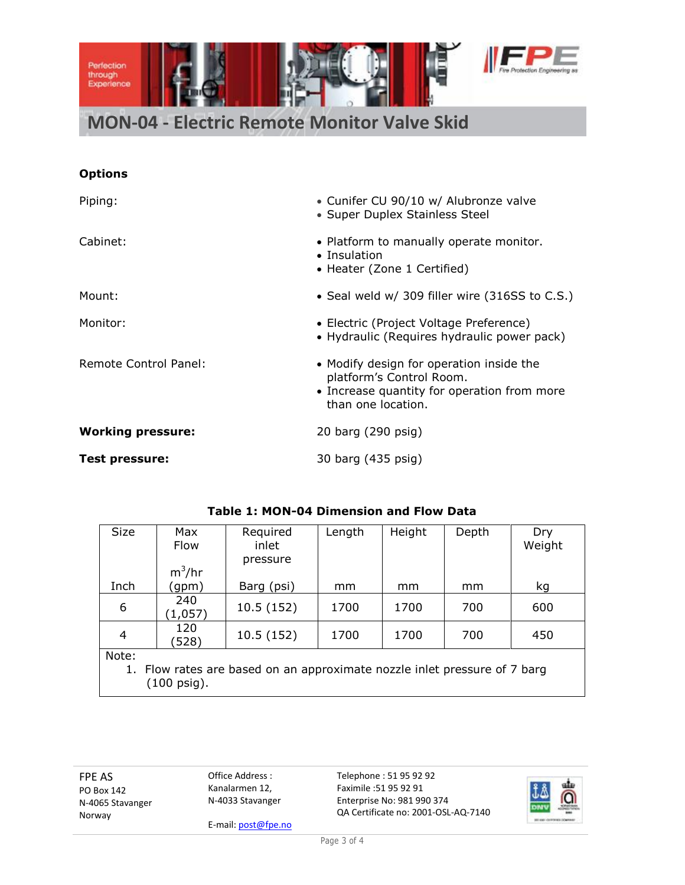

# **MON-04 - Electric Remote Monitor Valve Skid**

### **Options**

| Piping:                  | • Cunifer CU 90/10 w/ Alubronze valve<br>• Super Duplex Stainless Steel                                                                                                                                                             |  |  |  |
|--------------------------|-------------------------------------------------------------------------------------------------------------------------------------------------------------------------------------------------------------------------------------|--|--|--|
| Cabinet:                 | • Platform to manually operate monitor.<br>• Insulation<br>• Heater (Zone 1 Certified)                                                                                                                                              |  |  |  |
| Mount:                   | • Seal weld w/ 309 filler wire (316SS to C.S.)                                                                                                                                                                                      |  |  |  |
| Monitor:                 | • Electric (Project Voltage Preference)<br>• Hydraulic (Requires hydraulic power pack)<br>• Modify design for operation inside the<br>platform's Control Room.<br>• Increase quantity for operation from more<br>than one location. |  |  |  |
| Remote Control Panel:    |                                                                                                                                                                                                                                     |  |  |  |
| <b>Working pressure:</b> | 20 barg (290 psig)                                                                                                                                                                                                                  |  |  |  |
| Test pressure:           | 30 barg (435 psig)                                                                                                                                                                                                                  |  |  |  |

| <b>Table 1: MON-04 Dimension and Flow Data</b> |  |  |
|------------------------------------------------|--|--|
|------------------------------------------------|--|--|

| <b>Size</b>                                                               | Max      | Required   | Length | Height | Depth | Dry    |  |  |
|---------------------------------------------------------------------------|----------|------------|--------|--------|-------|--------|--|--|
|                                                                           | Flow     | inlet      |        |        |       | Weight |  |  |
|                                                                           |          | pressure   |        |        |       |        |  |  |
|                                                                           | $m^3/hr$ |            |        |        |       |        |  |  |
| Inch                                                                      | (gpm)    | Barg (psi) | mm     | mm     | mm    | kg     |  |  |
| 6                                                                         | 240      | 10.5(152)  | 1700   | 1700   | 700   | 600    |  |  |
|                                                                           | (1,057)  |            |        |        |       |        |  |  |
| 4                                                                         | 120      | 10.5(152)  | 1700   | 1700   | 700   | 450    |  |  |
|                                                                           | (528)    |            |        |        |       |        |  |  |
| Note:                                                                     |          |            |        |        |       |        |  |  |
| 1. Flow rates are based on an approximate nozzle inlet pressure of 7 barg |          |            |        |        |       |        |  |  |
| (100 psig).                                                               |          |            |        |        |       |        |  |  |

FPE AS PO Box 142 N-4065 Stavanger Norway

Office Address : Kanalarmen 12, N-4033 Stavanger

E-mail: post@fpe.no

Telephone : 51 95 92 92 Faximile :51 95 92 91 Enterprise No: 981 990 374 QA Certificate no: 2001-OSL-AQ-7140



ing as